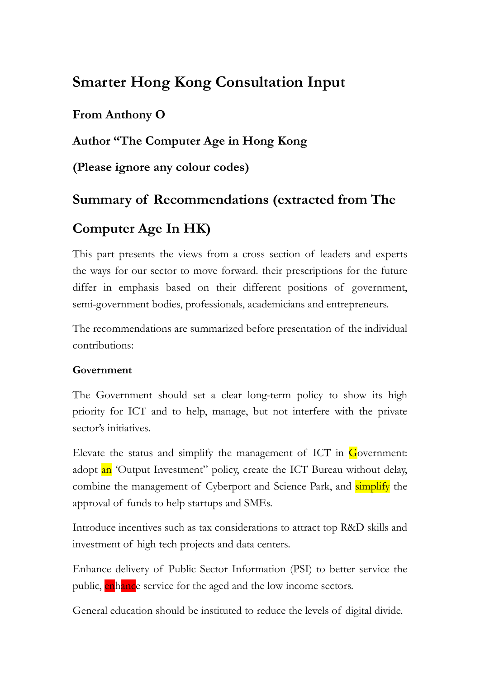# **Smarter Hong Kong Consultation Input**

# **From Anthony O**

## **Author "The Computer Age in Hong Kong**

**(Please ignore any colour codes)**

# **Summary of Recommendations (extracted from The**

# **Computer Age In HK)**

This part presents the views from a cross section of leaders and experts the ways for our sector to move forward. their prescriptions for the future differ in emphasis based on their different positions of government, semi-government bodies, professionals, academicians and entrepreneurs.

The recommendations are summarized before presentation of the individual contributions:

#### **Government**

The Government should set a clear long-term policy to show its high priority for ICT and to help, manage, but not interfere with the private sector's initiatives.

Elevate the status and simplify the management of ICT in  $G$  overnment: adopt an 'Output Investment'' policy, create the ICT Bureau without delay, combine the management of Cyberport and Science Park, and simplify the approval of funds to help startups and SMEs.

Introduce incentives such as tax considerations to attract top R&D skills and investment of high tech projects and data centers.

Enhance delivery of Public Sector Information (PSI) to better service the public, enhance service for the aged and the low income sectors.

General education should be instituted to reduce the levels of digital divide.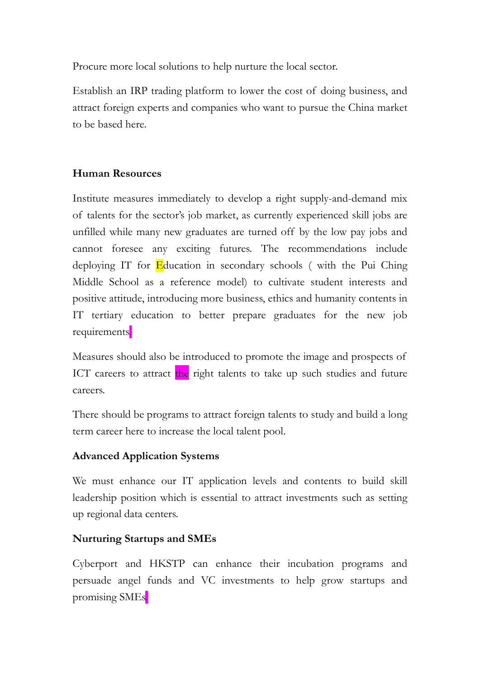Procure more local solutions to help nurture the local sector.

Establish an IRP trading platform to lower the cost of doing business, and attract foreign experts and companies who want to pursue the China market to be based here.

#### **Human Resources**

Institute measures immediately to develop a right supply-and-demand mix of talents for the sector's job market, as currently experienced skill jobs are unfilled while many new graduates are turned off by the low pay jobs and cannot foresee any exciting futures. The recommendations include deploying IT for Education in secondary schools (with the Pui Ching Middle School as a reference model) to cultivate student interests and positive attitude, introducing more business, ethics and humanity contents in IT tertiary education to better prepare graduates for the new job requirements.

Measures should also be introduced to promote the image and prospects of ICT careers to attract the right talents to take up such studies and future careers.

There should be programs to attract foreign talents to study and build a long term career here to increase the local talent pool.

#### **Advanced Application Systems**

We must enhance our IT application levels and contents to build skill leadership position which is essential to attract investments such as setting up regional data centers.

#### **Nurturing Startups and SMEs**

Cyberport and HKSTP can enhance their incubation programs and persuade angel funds and VC investments to help grow startups and promising SMEs.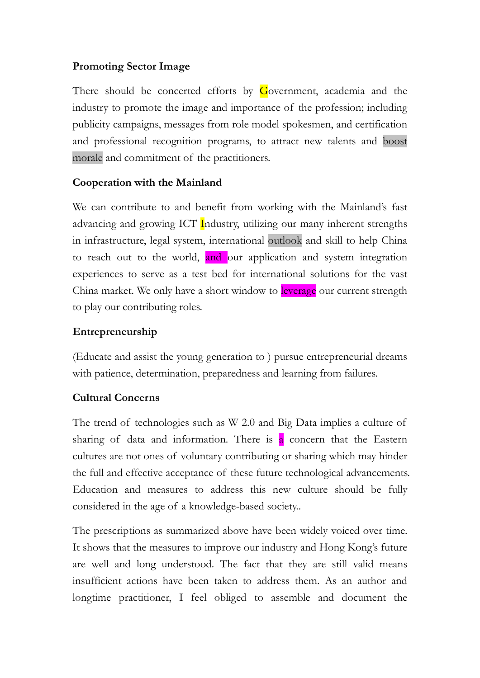### **Promoting Sector Image**

There should be concerted efforts by Government, academia and the industry to promote the image and importance of the profession; including publicity campaigns, messages from role model spokesmen, and certification and professional recognition programs, to attract new talents and boost morale and commitment of the practitioners.

#### **Cooperation with the Mainland**

We can contribute to and benefit from working with the Mainland's fast advancing and growing ICT Industry, utilizing our many inherent strengths in infrastructure, legal system, international outlook and skill to help China to reach out to the world, and our application and system integration experiences to serve as a test bed for international solutions for the vast China market. We only have a short window to leverage our current strength to play our contributing roles.

#### **Entrepreneurship**

(Educate and assist the young generation to ) pursue entrepreneurial dreams with patience, determination, preparedness and learning from failures.

#### **Cultural Concerns**

The trend of technologies such as W 2.0 and Big Data implies a culture of sharing of data and information. There is  $\alpha$  concern that the Eastern cultures are not ones of voluntary contributing or sharing which may hinder the full and effective acceptance of these future technological advancements. Education and measures to address this new culture should be fully considered in the age of a knowledge-based society..

The prescriptions as summarized above have been widely voiced over time. It shows that the measures to improve our industry and Hong Kong's future are well and long understood. The fact that they are still valid means insufficient actions have been taken to address them. As an author and longtime practitioner, I feel obliged to assemble and document the